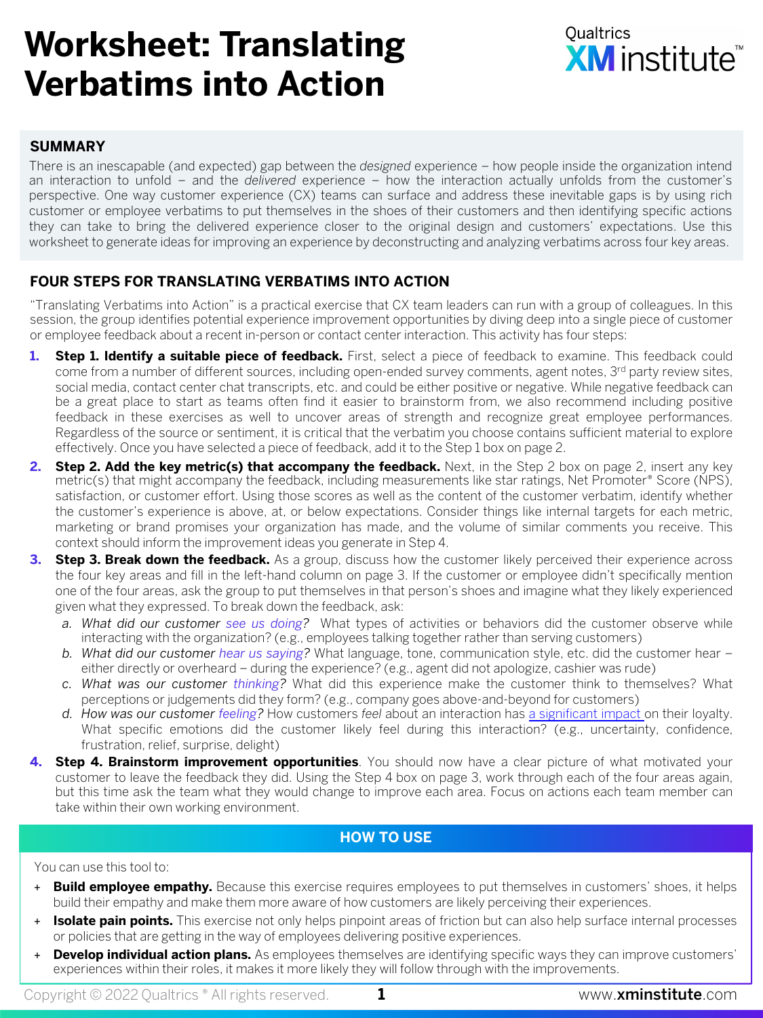## **Worksheet: Translating Verbatims into Action**



#### **SUMMARY**

There is an inescapable (and expected) gap between the *designed* experience – how people inside the organization intend an interaction to unfold – and the *delivered* experience – how the interaction actually unfolds from the customer's perspective. One way customer experience (CX) teams can surface and address these inevitable gaps is by using rich customer or employee verbatims to put themselves in the shoes of their customers and then identifying specific actions they can take to bring the delivered experience closer to the original design and customers' expectations. Use this worksheet to generate ideas for improving an experience by deconstructing and analyzing verbatims across four key areas.

#### **FOUR STEPS FOR TRANSLATING VERBATIMS INTO ACTION**

"Translating Verbatims into Action" is a practical exercise that CX team leaders can run with a group of colleagues. In this session, the group identifies potential experience improvement opportunities by diving deep into a single piece of customer or employee feedback about a recent in-person or contact center interaction. This activity has four steps:

- **1. Step 1. Identify a suitable piece of feedback.** First, select a piece of feedback to examine. This feedback could come from a number of different sources, including open-ended survey comments, agent notes, 3<sup>rd</sup> party review sites, social media, contact center chat transcripts, etc. and could be either positive or negative. While negative feedback can be a great place to start as teams often find it easier to brainstorm from, we also recommend including positive feedback in these exercises as well to uncover areas of strength and recognize great employee performances. Regardless of the source or sentiment, it is critical that the verbatim you choose contains sufficient material to explore effectively. Once you have selected a piece of feedback, add it to the Step 1 box on page 2.
- **2. Step 2. Add the key metric(s) that accompany the feedback.** Next, in the Step 2 box on page 2, insert any key metric(s) that might accompany the feedback, including measurements like star ratings, Net Promoter® Score (NPS), satisfaction, or customer effort. Using those scores as well as the content of the customer verbatim, identify whether the customer's experience is above, at, or below expectations. Consider things like internal targets for each metric, marketing or brand promises your organization has made, and the volume of similar comments you receive. This context should inform the improvement ideas you generate in Step 4.
- **3. Step 3. Break down the feedback.** As a group, discuss how the customer likely perceived their experience across the four key areas and fill in the left-hand column on page 3. If the customer or employee didn't specifically mention one of the four areas, ask the group to put themselves in that person's shoes and imagine what they likely experienced given what they expressed. To break down the feedback, ask:
	- *a. What did our customer see us doing?* What types of activities or behaviors did the [customer](https://www.xminstitute.com/research/global-roi-customer-experience-2022/) observe while interacting with the organization? (e.g., employees talking together rather than serving customers)
	- *b. What did our customer hear us saying?* What language, tone, communication style, etc. did the customer hear either directly or overheard – during the experience? (e.g., agent did not apologize, cashier was rude)
	- *c. What was our customer thinking?* What did this experience make the customer think to themselves? What perceptions or judgements did they form? (e.g., company goes above-and-beyond for customers)
	- *d. How was our customer feeling?* How customers *feel* about an interaction has a significant impact on their loyalty. What specific emotions did the customer likely feel during this interaction? (e.g., uncertainty, confidence, frustration, relief, surprise, delight)
- **4. Step 4. Brainstorm improvement opportunities**. You should now have a clear picture of what motivated your customer to leave the feedback they did. Using the Step 4 box on page 3, work through each of the four areas again, but this time ask the team what they would change to improve each area. Focus on actions each team member can take within their own working environment.

#### **HOW TO USE**

#### You can use this tool to:

- + **Build employee empathy.** Because this exercise requires employees to put themselves in customers' shoes, it helps build their empathy and make them more aware of how customers are likely perceiving their experiences.
- + **Isolate pain points.** This exercise not only helps pinpoint areas of friction but can also help surface internal processes or policies that are getting in the way of employees delivering positive experiences.
- + **Develop individual action plans.** As employees themselves are identifying specific ways they can improve customers' experiences within their roles, it makes it more likely they will follow through with the improvements.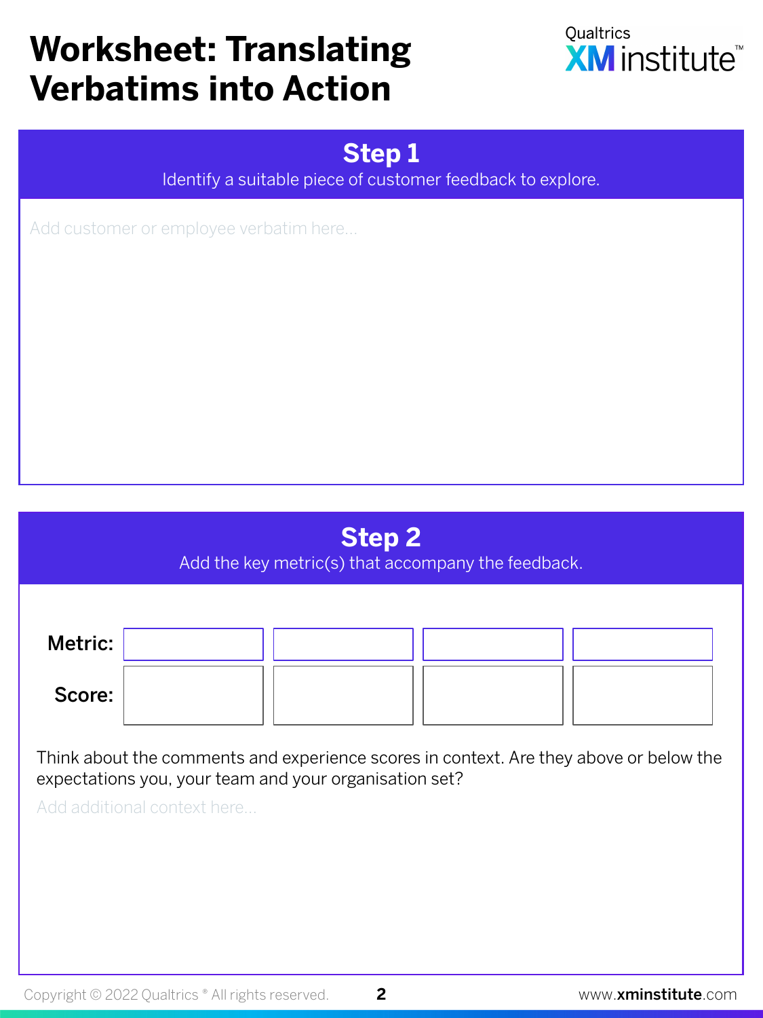# **Worksheet: Translating Verbatims into Action**



### **Step 1**

Identify a suitable piece of customer feedback to explore.

Add customer or employee verbatim here…

## **Step 2**

Add the key metric(s) that accompany the feedback.

| Metric: |  |  |
|---------|--|--|
| Score:  |  |  |

Think about the comments and experience scores in context. Are they above or below the expectations you, your team and your organisation set?

Add additional context here…